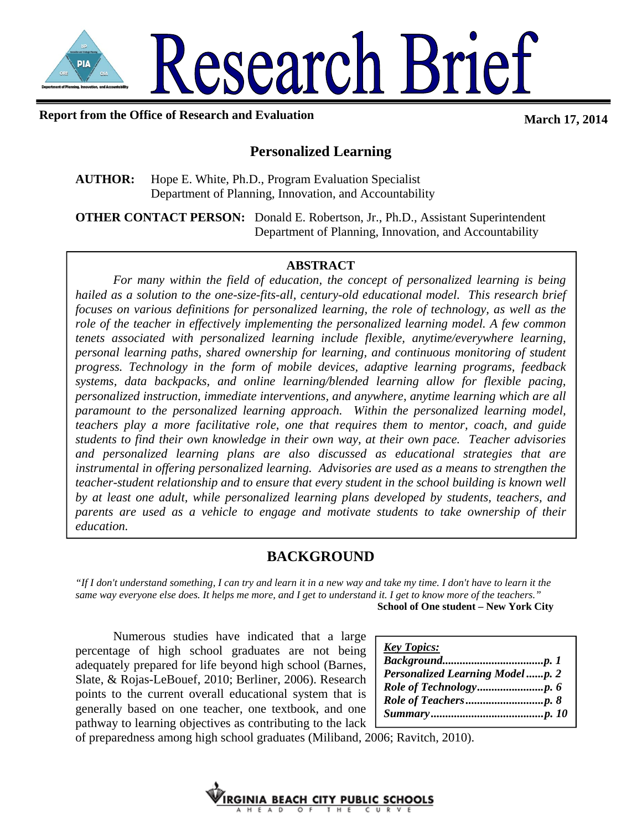

# **Personalized Learning**

## **AUTHOR:** Hope E. White, Ph.D., Program Evaluation Specialist Department of Planning, Innovation, and Accountability

**OTHER CONTACT PERSON:** Donald E. Robertson, Jr., Ph.D., Assistant Superintendent Department of Planning, Innovation, and Accountability

## **ABSTRACT**

*For many within the field of education, the concept of personalized learning is being hailed as a solution to the one-size-fits-all, century-old educational model. This research brief focuses on various definitions for personalized learning, the role of technology, as well as the role of the teacher in effectively implementing the personalized learning model. A few common tenets associated with personalized learning include flexible, anytime/everywhere learning, personal learning paths, shared ownership for learning, and continuous monitoring of student progress. Technology in the form of mobile devices, adaptive learning programs, feedback systems, data backpacks, and online learning/blended learning allow for flexible pacing, personalized instruction, immediate interventions, and anywhere, anytime learning which are all paramount to the personalized learning approach. Within the personalized learning model, teachers play a more facilitative role, one that requires them to mentor, coach, and guide students to find their own knowledge in their own way, at their own pace. Teacher advisories and personalized learning plans are also discussed as educational strategies that are instrumental in offering personalized learning. Advisories are used as a means to strengthen the teacher-student relationship and to ensure that every student in the school building is known well by at least one adult, while personalized learning plans developed by students, teachers, and parents are used as a vehicle to engage and motivate students to take ownership of their education.* 

## **BACKGROUND**

*"If I don't understand something, I can try and learn it in a new way and take my time. I don't have to learn it the same way everyone else does. It helps me more, and I get to understand it. I get to know more of the teachers."* **School of One student – New York City**

Numerous studies have indicated that a large percentage of high school graduates are not being adequately prepared for life beyond high school (Barnes, Slate, & Rojas-LeBouef, 2010; Berliner, 2006). Research points to the current overall educational system that is generally based on one teacher, one textbook, and one pathway to learning objectives as contributing to the lack

| <b>Key Topics:</b>              |  |
|---------------------------------|--|
|                                 |  |
| Personalized Learning Modelp. 2 |  |
|                                 |  |
|                                 |  |
|                                 |  |

of preparedness among high school graduates (Miliband, 2006; Ravitch, 2010).

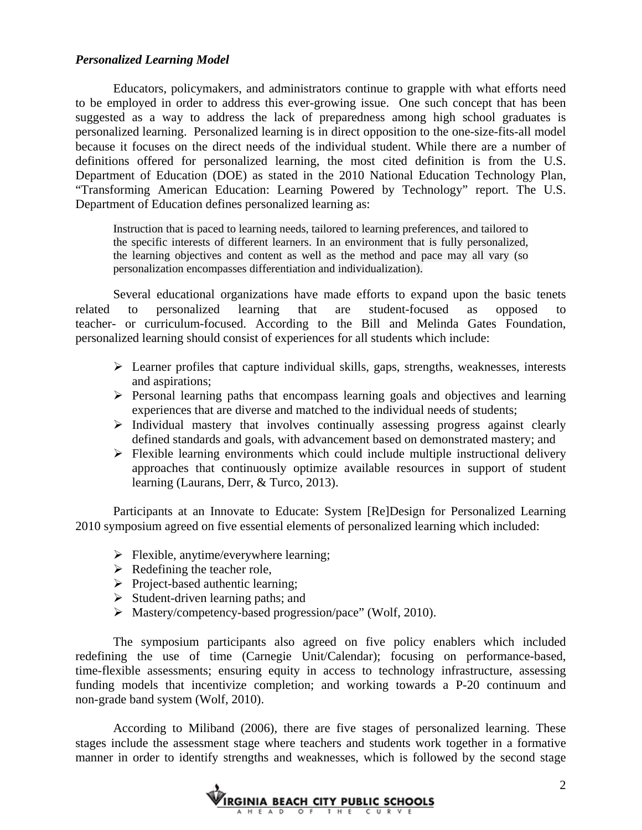### *Personalized Learning Model*

Educators, policymakers, and administrators continue to grapple with what efforts need to be employed in order to address this ever-growing issue. One such concept that has been suggested as a way to address the lack of preparedness among high school graduates is personalized learning. Personalized learning is in direct opposition to the one-size-fits-all model because it focuses on the direct needs of the individual student. While there are a number of definitions offered for personalized learning, the most cited definition is from the U.S. Department of Education (DOE) as stated in the 2010 National Education Technology Plan, "Transforming American Education: Learning Powered by Technology" report. The U.S. Department of Education defines personalized learning as:

Instruction that is paced to learning needs, tailored to learning preferences, and tailored to the specific interests of different learners. In an environment that is fully personalized, the learning objectives and content as well as the method and pace may all vary (so personalization encompasses differentiation and individualization).

Several educational organizations have made efforts to expand upon the basic tenets related to personalized learning that are student-focused as opposed to teacher- or curriculum-focused. According to the Bill and Melinda Gates Foundation, personalized learning should consist of experiences for all students which include:

- $\triangleright$  Learner profiles that capture individual skills, gaps, strengths, weaknesses, interests and aspirations;
- $\triangleright$  Personal learning paths that encompass learning goals and objectives and learning experiences that are diverse and matched to the individual needs of students;
- $\triangleright$  Individual mastery that involves continually assessing progress against clearly defined standards and goals, with advancement based on demonstrated mastery; and
- $\triangleright$  Flexible learning environments which could include multiple instructional delivery approaches that continuously optimize available resources in support of student learning (Laurans, Derr, & Turco, 2013).

Participants at an Innovate to Educate: System [Re]Design for Personalized Learning 2010 symposium agreed on five essential elements of personalized learning which included:

- $\triangleright$  Flexible, anytime/everywhere learning;
- $\triangleright$  Redefining the teacher role,
- $\triangleright$  Project-based authentic learning:
- $\triangleright$  Student-driven learning paths; and
- Mastery/competency-based progression/pace" (Wolf, 2010).

The symposium participants also agreed on five policy enablers which included redefining the use of time (Carnegie Unit/Calendar); focusing on performance-based, time-flexible assessments; ensuring equity in access to technology infrastructure, assessing funding models that incentivize completion; and working towards a P-20 continuum and non-grade band system (Wolf, 2010).

According to Miliband (2006), there are five stages of personalized learning. These stages include the assessment stage where teachers and students work together in a formative manner in order to identify strengths and weaknesses, which is followed by the second stage

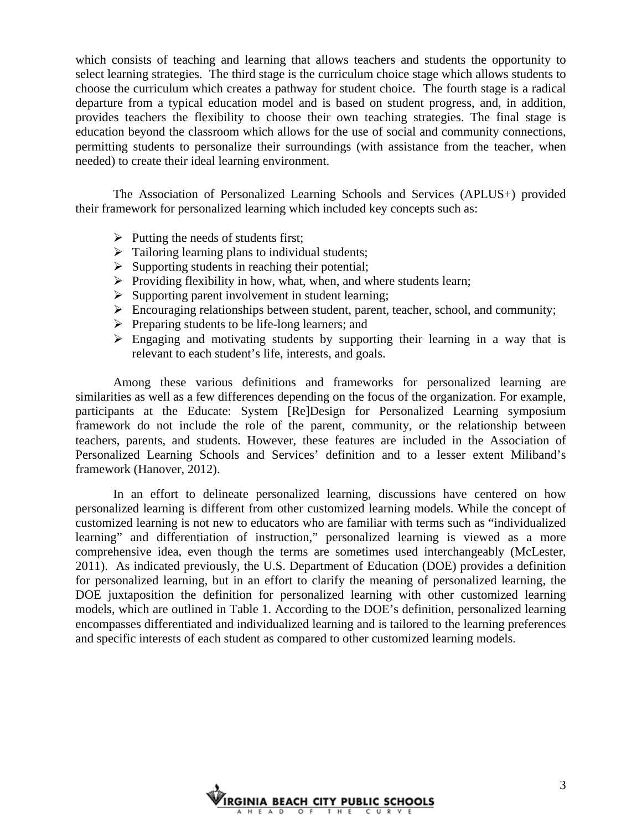which consists of teaching and learning that allows teachers and students the opportunity to select learning strategies. The third stage is the curriculum choice stage which allows students to choose the curriculum which creates a pathway for student choice. The fourth stage is a radical departure from a typical education model and is based on student progress, and, in addition, provides teachers the flexibility to choose their own teaching strategies. The final stage is education beyond the classroom which allows for the use of social and community connections, permitting students to personalize their surroundings (with assistance from the teacher, when needed) to create their ideal learning environment.

The Association of Personalized Learning Schools and Services (APLUS+) provided their framework for personalized learning which included key concepts such as:

- $\triangleright$  Putting the needs of students first;
- $\triangleright$  Tailoring learning plans to individual students;
- $\triangleright$  Supporting students in reaching their potential;
- $\triangleright$  Providing flexibility in how, what, when, and where students learn;
- $\triangleright$  Supporting parent involvement in student learning;
- $\triangleright$  Encouraging relationships between student, parent, teacher, school, and community;
- $\triangleright$  Preparing students to be life-long learners; and
- $\triangleright$  Engaging and motivating students by supporting their learning in a way that is relevant to each student's life, interests, and goals.

Among these various definitions and frameworks for personalized learning are similarities as well as a few differences depending on the focus of the organization. For example, participants at the Educate: System [Re]Design for Personalized Learning symposium framework do not include the role of the parent, community, or the relationship between teachers, parents, and students. However, these features are included in the Association of Personalized Learning Schools and Services' definition and to a lesser extent Miliband's framework (Hanover, 2012).

In an effort to delineate personalized learning, discussions have centered on how personalized learning is different from other customized learning models. While the concept of customized learning is not new to educators who are familiar with terms such as "individualized learning" and differentiation of instruction," personalized learning is viewed as a more comprehensive idea, even though the terms are sometimes used interchangeably (McLester, 2011). As indicated previously, the U.S. Department of Education (DOE) provides a definition for personalized learning, but in an effort to clarify the meaning of personalized learning, the DOE juxtaposition the definition for personalized learning with other customized learning models, which are outlined in Table 1. According to the DOE's definition, personalized learning encompasses differentiated and individualized learning and is tailored to the learning preferences and specific interests of each student as compared to other customized learning models.

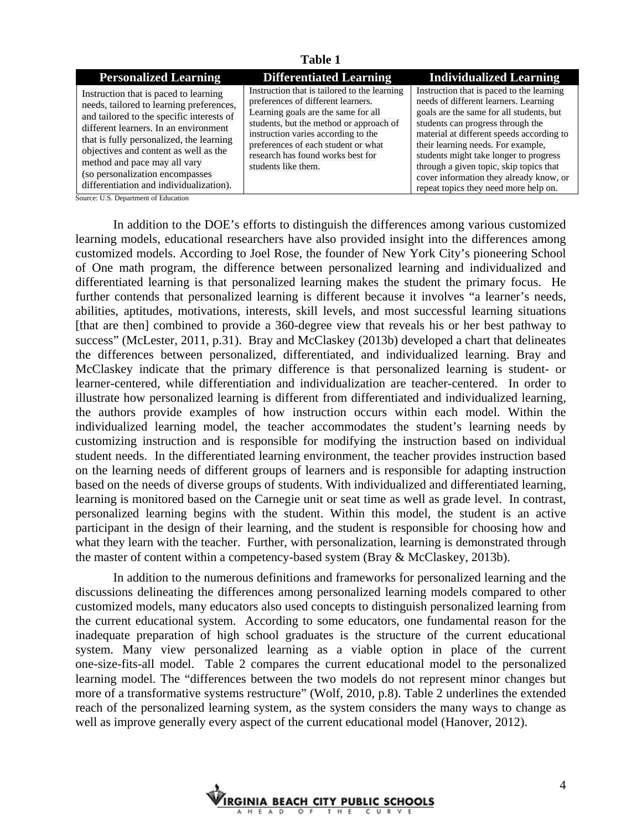## **Table 1**

| <b>Personalized Learning</b>                                                                                                                                                                                                                                                                                                                                                | <b>Differentiated Learning</b>                                                                                                                                                                                                                                                                                 | <b>Individualized Learning</b>                                                                                                                                                                                                                                                                                                                                                                                                  |
|-----------------------------------------------------------------------------------------------------------------------------------------------------------------------------------------------------------------------------------------------------------------------------------------------------------------------------------------------------------------------------|----------------------------------------------------------------------------------------------------------------------------------------------------------------------------------------------------------------------------------------------------------------------------------------------------------------|---------------------------------------------------------------------------------------------------------------------------------------------------------------------------------------------------------------------------------------------------------------------------------------------------------------------------------------------------------------------------------------------------------------------------------|
| Instruction that is paced to learning<br>needs, tailored to learning preferences,<br>and tailored to the specific interests of<br>different learners. In an environment<br>that is fully personalized, the learning<br>objectives and content as well as the<br>method and pace may all vary<br>(so personalization encompasses)<br>differentiation and individualization). | Instruction that is tailored to the learning<br>preferences of different learners.<br>Learning goals are the same for all<br>students, but the method or approach of<br>instruction varies according to the<br>preferences of each student or what<br>research has found works best for<br>students like them. | Instruction that is paced to the learning<br>needs of different learners. Learning<br>goals are the same for all students, but<br>students can progress through the<br>material at different speeds according to<br>their learning needs. For example,<br>students might take longer to progress<br>through a given topic, skip topics that<br>cover information they already know, or<br>repeat topics they need more help on. |

Source: U.S. Department of Education

In addition to the DOE's efforts to distinguish the differences among various customized learning models, educational researchers have also provided insight into the differences among customized models. According to Joel Rose, the founder of New York City's pioneering School of One math program, the difference between personalized learning and individualized and differentiated learning is that personalized learning makes the student the primary focus. He further contends that personalized learning is different because it involves "a learner's needs, abilities, aptitudes, motivations, interests, skill levels, and most successful learning situations [that are then] combined to provide a 360-degree view that reveals his or her best pathway to success" (McLester, 2011, p.31). Bray and McClaskey (2013b) developed a chart that delineates the differences between personalized, differentiated, and individualized learning. Bray and McClaskey indicate that the primary difference is that personalized learning is student- or learner-centered, while differentiation and individualization are teacher-centered. In order to illustrate how personalized learning is different from differentiated and individualized learning, the authors provide examples of how instruction occurs within each model. Within the individualized learning model, the teacher accommodates the student's learning needs by customizing instruction and is responsible for modifying the instruction based on individual student needs. In the differentiated learning environment, the teacher provides instruction based on the learning needs of different groups of learners and is responsible for adapting instruction based on the needs of diverse groups of students. With individualized and differentiated learning, learning is monitored based on the Carnegie unit or seat time as well as grade level. In contrast, personalized learning begins with the student. Within this model, the student is an active participant in the design of their learning, and the student is responsible for choosing how and what they learn with the teacher. Further, with personalization, learning is demonstrated through the master of content within a competency-based system (Bray & McClaskey, 2013b).

In addition to the numerous definitions and frameworks for personalized learning and the discussions delineating the differences among personalized learning models compared to other customized models, many educators also used concepts to distinguish personalized learning from the current educational system. According to some educators, one fundamental reason for the inadequate preparation of high school graduates is the structure of the current educational system. Many view personalized learning as a viable option in place of the current one-size-fits-all model. Table 2 compares the current educational model to the personalized learning model. The "differences between the two models do not represent minor changes but more of a transformative systems restructure" (Wolf, 2010, p.8). Table 2 underlines the extended reach of the personalized learning system, as the system considers the many ways to change as well as improve generally every aspect of the current educational model (Hanover, 2012).

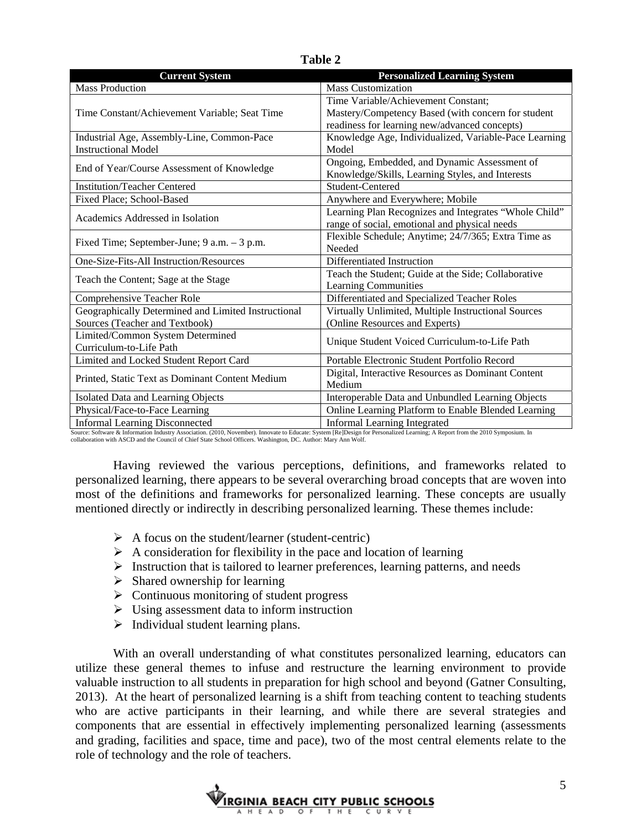| <b>Current System</b>                               | <b>Personalized Learning System</b>                   |  |
|-----------------------------------------------------|-------------------------------------------------------|--|
| <b>Mass Production</b>                              | <b>Mass Customization</b>                             |  |
|                                                     | Time Variable/Achievement Constant;                   |  |
| Time Constant/Achievement Variable; Seat Time       | Mastery/Competency Based (with concern for student    |  |
|                                                     | readiness for learning new/advanced concepts)         |  |
| Industrial Age, Assembly-Line, Common-Pace          | Knowledge Age, Individualized, Variable-Pace Learning |  |
| <b>Instructional Model</b>                          | Model                                                 |  |
|                                                     | Ongoing, Embedded, and Dynamic Assessment of          |  |
| End of Year/Course Assessment of Knowledge          | Knowledge/Skills, Learning Styles, and Interests      |  |
| <b>Institution/Teacher Centered</b>                 | Student-Centered                                      |  |
| Fixed Place; School-Based                           | Anywhere and Everywhere; Mobile                       |  |
| Academics Addressed in Isolation                    | Learning Plan Recognizes and Integrates "Whole Child" |  |
|                                                     | range of social, emotional and physical needs         |  |
| Fixed Time; September-June; 9 a.m. - 3 p.m.         | Flexible Schedule; Anytime; 24/7/365; Extra Time as   |  |
|                                                     | Needed                                                |  |
| One-Size-Fits-All Instruction/Resources             | Differentiated Instruction                            |  |
| Teach the Content; Sage at the Stage                | Teach the Student; Guide at the Side; Collaborative   |  |
|                                                     | Learning Communities                                  |  |
| Comprehensive Teacher Role                          | Differentiated and Specialized Teacher Roles          |  |
| Geographically Determined and Limited Instructional | Virtually Unlimited, Multiple Instructional Sources   |  |
| Sources (Teacher and Textbook)                      | (Online Resources and Experts)                        |  |
| Limited/Common System Determined                    | Unique Student Voiced Curriculum-to-Life Path         |  |
| Curriculum-to-Life Path                             |                                                       |  |
| Limited and Locked Student Report Card              | Portable Electronic Student Portfolio Record          |  |
| Printed, Static Text as Dominant Content Medium     | Digital, Interactive Resources as Dominant Content    |  |
|                                                     | Medium                                                |  |
| Isolated Data and Learning Objects                  | Interoperable Data and Unbundled Learning Objects     |  |
| Physical/Face-to-Face Learning                      | Online Learning Platform to Enable Blended Learning   |  |
| <b>Informal Learning Disconnected</b>               | <b>Informal Learning Integrated</b>                   |  |

**Table 2** 

Source: Software & Information Industry Association. (2010, November). Innovate to Educate: System [Re]Design for Personalized Learning; A Report from the 2010 Symposium. In collaboration with ASCD and the Council of Chief State School Officers. Washington, DC. Author: Mary Ann Wolf.

Having reviewed the various perceptions, definitions, and frameworks related to personalized learning, there appears to be several overarching broad concepts that are woven into most of the definitions and frameworks for personalized learning. These concepts are usually mentioned directly or indirectly in describing personalized learning. These themes include:

- $\triangleright$  A focus on the student/learner (student-centric)
- $\triangleright$  A consideration for flexibility in the pace and location of learning
- $\triangleright$  Instruction that is tailored to learner preferences, learning patterns, and needs
- $\triangleright$  Shared ownership for learning
- $\triangleright$  Continuous monitoring of student progress
- $\triangleright$  Using assessment data to inform instruction
- $\triangleright$  Individual student learning plans.

With an overall understanding of what constitutes personalized learning, educators can utilize these general themes to infuse and restructure the learning environment to provide valuable instruction to all students in preparation for high school and beyond (Gatner Consulting, 2013). At the heart of personalized learning is a shift from teaching content to teaching students who are active participants in their learning, and while there are several strategies and components that are essential in effectively implementing personalized learning (assessments and grading, facilities and space, time and pace), two of the most central elements relate to the role of technology and the role of teachers.

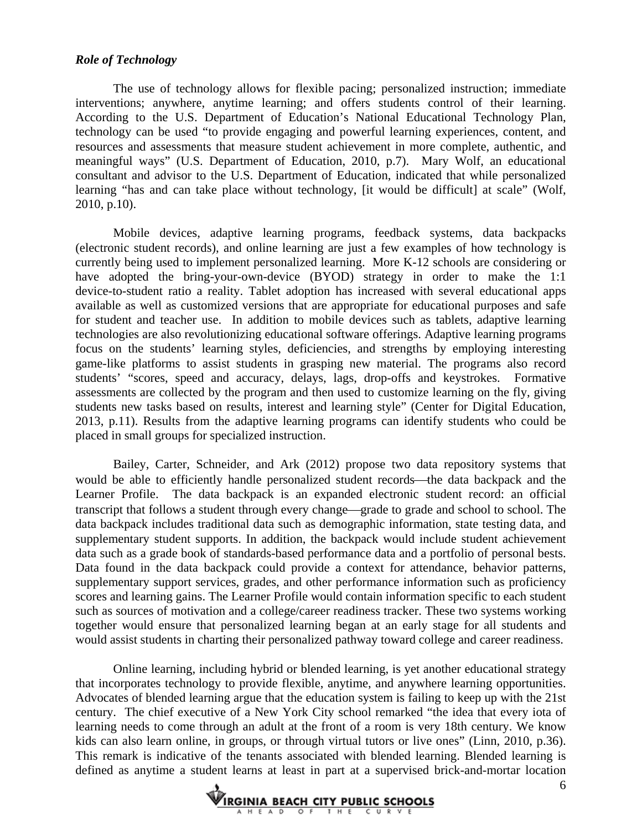#### *Role of Technology*

The use of technology allows for flexible pacing; personalized instruction; immediate interventions; anywhere, anytime learning; and offers students control of their learning. According to the U.S. Department of Education's National Educational Technology Plan, technology can be used "to provide engaging and powerful learning experiences, content, and resources and assessments that measure student achievement in more complete, authentic, and meaningful ways" (U.S. Department of Education, 2010, p.7). Mary Wolf, an educational consultant and advisor to the U.S. Department of Education, indicated that while personalized learning "has and can take place without technology, [it would be difficult] at scale" (Wolf, 2010, p.10).

Mobile devices, adaptive learning programs, feedback systems, data backpacks (electronic student records), and online learning are just a few examples of how technology is currently being used to implement personalized learning. More K-12 schools are considering or have adopted the bring-your-own-device (BYOD) strategy in order to make the 1:1 device-to-student ratio a reality. Tablet adoption has increased with several educational apps available as well as customized versions that are appropriate for educational purposes and safe for student and teacher use. In addition to mobile devices such as tablets, adaptive learning technologies are also revolutionizing educational software offerings. Adaptive learning programs focus on the students' learning styles, deficiencies, and strengths by employing interesting game-like platforms to assist students in grasping new material. The programs also record students' "scores, speed and accuracy, delays, lags, drop-offs and keystrokes. Formative assessments are collected by the program and then used to customize learning on the fly, giving students new tasks based on results, interest and learning style" (Center for Digital Education, 2013, p.11). Results from the adaptive learning programs can identify students who could be placed in small groups for specialized instruction.

Bailey, Carter, Schneider, and Ark (2012) propose two data repository systems that would be able to efficiently handle personalized student records—the data backpack and the Learner Profile. The data backpack is an expanded electronic student record: an official transcript that follows a student through every change—grade to grade and school to school. The data backpack includes traditional data such as demographic information, state testing data, and supplementary student supports. In addition, the backpack would include student achievement data such as a grade book of standards-based performance data and a portfolio of personal bests. Data found in the data backpack could provide a context for attendance, behavior patterns, supplementary support services, grades, and other performance information such as proficiency scores and learning gains. The Learner Profile would contain information specific to each student such as sources of motivation and a college/career readiness tracker. These two systems working together would ensure that personalized learning began at an early stage for all students and would assist students in charting their personalized pathway toward college and career readiness.

Online learning, including hybrid or blended learning, is yet another educational strategy that incorporates technology to provide flexible, anytime, and anywhere learning opportunities. Advocates of blended learning argue that the education system is failing to keep up with the 21st century. The chief executive of a New York City school remarked "the idea that every iota of learning needs to come through an adult at the front of a room is very 18th century. We know kids can also learn online, in groups, or through virtual tutors or live ones" (Linn, 2010, p.36). This remark is indicative of the tenants associated with blended learning. Blended learning is defined as anytime a student learns at least in part at a supervised brick-and-mortar location

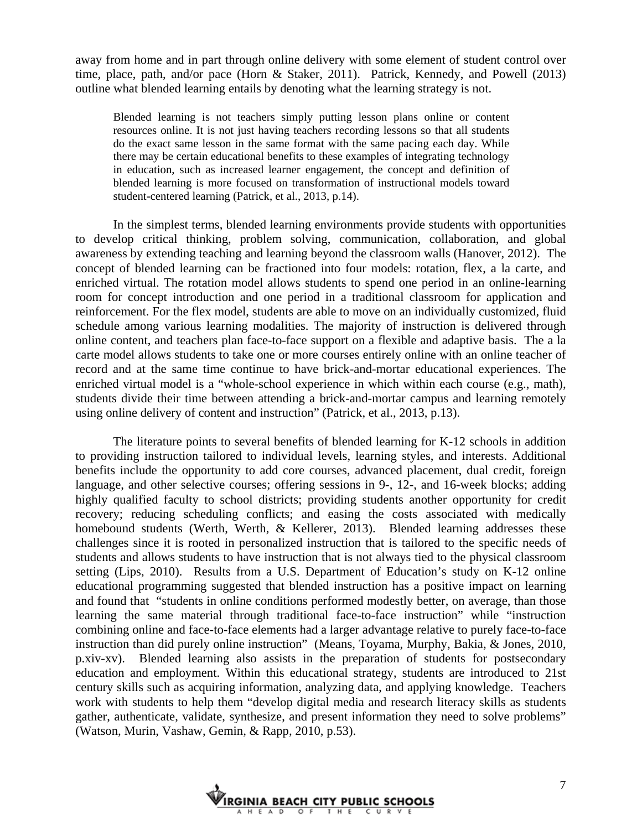away from home and in part through online delivery with some element of student control over time, place, path, and/or pace (Horn & Staker, 2011). Patrick, Kennedy, and Powell (2013) outline what blended learning entails by denoting what the learning strategy is not.

Blended learning is not teachers simply putting lesson plans online or content resources online. It is not just having teachers recording lessons so that all students do the exact same lesson in the same format with the same pacing each day. While there may be certain educational benefits to these examples of integrating technology in education, such as increased learner engagement, the concept and definition of blended learning is more focused on transformation of instructional models toward student-centered learning (Patrick, et al., 2013, p.14).

In the simplest terms, blended learning environments provide students with opportunities to develop critical thinking, problem solving, communication, collaboration, and global awareness by extending teaching and learning beyond the classroom walls (Hanover, 2012). The concept of blended learning can be fractioned into four models: rotation, flex, a la carte, and enriched virtual. The rotation model allows students to spend one period in an online-learning room for concept introduction and one period in a traditional classroom for application and reinforcement. For the flex model, students are able to move on an individually customized, fluid schedule among various learning modalities. The majority of instruction is delivered through online content, and teachers plan face-to-face support on a flexible and adaptive basis. The a la carte model allows students to take one or more courses entirely online with an online teacher of record and at the same time continue to have brick-and-mortar educational experiences. The enriched virtual model is a "whole-school experience in which within each course (e.g., math), students divide their time between attending a brick-and-mortar campus and learning remotely using online delivery of content and instruction" (Patrick, et al., 2013, p.13).

The literature points to several benefits of blended learning for K-12 schools in addition to providing instruction tailored to individual levels, learning styles, and interests. Additional benefits include the opportunity to add core courses, advanced placement, dual credit, foreign language, and other selective courses; offering sessions in 9-, 12-, and 16-week blocks; adding highly qualified faculty to school districts; providing students another opportunity for credit recovery; reducing scheduling conflicts; and easing the costs associated with medically homebound students (Werth, Werth, & Kellerer, 2013). Blended learning addresses these challenges since it is rooted in personalized instruction that is tailored to the specific needs of students and allows students to have instruction that is not always tied to the physical classroom setting (Lips, 2010). Results from a U.S. Department of Education's study on K-12 online educational programming suggested that blended instruction has a positive impact on learning and found that "students in online conditions performed modestly better, on average, than those learning the same material through traditional face-to-face instruction" while "instruction combining online and face-to-face elements had a larger advantage relative to purely face-to-face instruction than did purely online instruction" (Means, Toyama, Murphy, Bakia, & Jones, 2010, p.xiv-xv). Blended learning also assists in the preparation of students for postsecondary education and employment. Within this educational strategy, students are introduced to 21st century skills such as acquiring information, analyzing data, and applying knowledge. Teachers work with students to help them "develop digital media and research literacy skills as students gather, authenticate, validate, synthesize, and present information they need to solve problems" (Watson, Murin, Vashaw, Gemin, & Rapp, 2010, p.53).

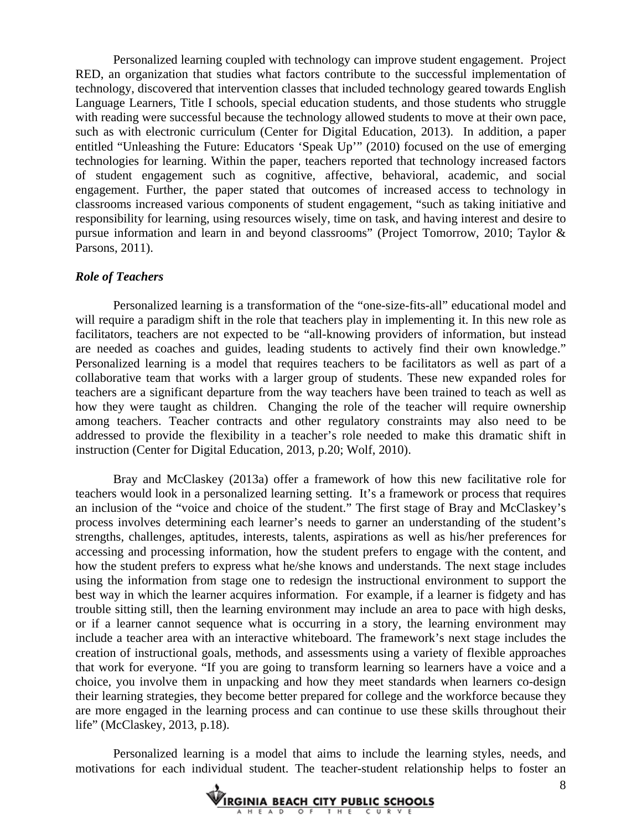Personalized learning coupled with technology can improve student engagement. Project RED, an organization that studies what factors contribute to the successful implementation of technology, discovered that intervention classes that included technology geared towards English Language Learners, Title I schools, special education students, and those students who struggle with reading were successful because the technology allowed students to move at their own pace, such as with electronic curriculum (Center for Digital Education, 2013). In addition, a paper entitled "Unleashing the Future: Educators 'Speak Up'" (2010) focused on the use of emerging technologies for learning. Within the paper, teachers reported that technology increased factors of student engagement such as cognitive, affective, behavioral, academic, and social engagement. Further, the paper stated that outcomes of increased access to technology in classrooms increased various components of student engagement, "such as taking initiative and responsibility for learning, using resources wisely, time on task, and having interest and desire to pursue information and learn in and beyond classrooms" (Project Tomorrow, 2010; Taylor & Parsons, 2011).

#### *Role of Teachers*

Personalized learning is a transformation of the "one-size-fits-all" educational model and will require a paradigm shift in the role that teachers play in implementing it. In this new role as facilitators, teachers are not expected to be "all-knowing providers of information, but instead are needed as coaches and guides, leading students to actively find their own knowledge." Personalized learning is a model that requires teachers to be facilitators as well as part of a collaborative team that works with a larger group of students. These new expanded roles for teachers are a significant departure from the way teachers have been trained to teach as well as how they were taught as children. Changing the role of the teacher will require ownership among teachers. Teacher contracts and other regulatory constraints may also need to be addressed to provide the flexibility in a teacher's role needed to make this dramatic shift in instruction (Center for Digital Education, 2013, p.20; Wolf, 2010).

Bray and McClaskey (2013a) offer a framework of how this new facilitative role for teachers would look in a personalized learning setting. It's a framework or process that requires an inclusion of the "voice and choice of the student." The first stage of Bray and McClaskey's process involves determining each learner's needs to garner an understanding of the student's strengths, challenges, aptitudes, interests, talents, aspirations as well as his/her preferences for accessing and processing information, how the student prefers to engage with the content, and how the student prefers to express what he/she knows and understands. The next stage includes using the information from stage one to redesign the instructional environment to support the best way in which the learner acquires information. For example, if a learner is fidgety and has trouble sitting still, then the learning environment may include an area to pace with high desks, or if a learner cannot sequence what is occurring in a story, the learning environment may include a teacher area with an interactive whiteboard. The framework's next stage includes the creation of instructional goals, methods, and assessments using a variety of flexible approaches that work for everyone. "If you are going to transform learning so learners have a voice and a choice, you involve them in unpacking and how they meet standards when learners co-design their learning strategies, they become better prepared for college and the workforce because they are more engaged in the learning process and can continue to use these skills throughout their life" (McClaskey, 2013, p.18).

Personalized learning is a model that aims to include the learning styles, needs, and motivations for each individual student. The teacher-student relationship helps to foster an

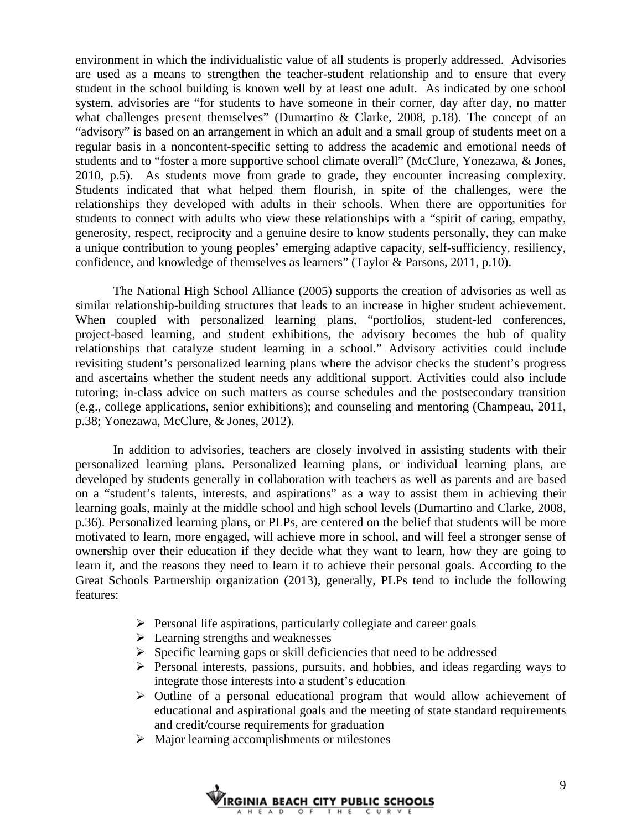environment in which the individualistic value of all students is properly addressed. Advisories are used as a means to strengthen the teacher-student relationship and to ensure that every student in the school building is known well by at least one adult. As indicated by one school system, advisories are "for students to have someone in their corner, day after day, no matter what challenges present themselves" (Dumartino & Clarke, 2008, p.18). The concept of an "advisory" is based on an arrangement in which an adult and a small group of students meet on a regular basis in a noncontent-specific setting to address the academic and emotional needs of students and to "foster a more supportive school climate overall" (McClure, Yonezawa, & Jones, 2010, p.5). As students move from grade to grade, they encounter increasing complexity. Students indicated that what helped them flourish, in spite of the challenges, were the relationships they developed with adults in their schools. When there are opportunities for students to connect with adults who view these relationships with a "spirit of caring, empathy, generosity, respect, reciprocity and a genuine desire to know students personally, they can make a unique contribution to young peoples' emerging adaptive capacity, self-sufficiency, resiliency, confidence, and knowledge of themselves as learners" (Taylor & Parsons, 2011, p.10).

The National High School Alliance (2005) supports the creation of advisories as well as similar relationship-building structures that leads to an increase in higher student achievement. When coupled with personalized learning plans, "portfolios, student-led conferences, project-based learning, and student exhibitions, the advisory becomes the hub of quality relationships that catalyze student learning in a school." Advisory activities could include revisiting student's personalized learning plans where the advisor checks the student's progress and ascertains whether the student needs any additional support. Activities could also include tutoring; in-class advice on such matters as course schedules and the postsecondary transition (e.g., college applications, senior exhibitions); and counseling and mentoring (Champeau, 2011, p.38; Yonezawa, McClure, & Jones, 2012).

In addition to advisories, teachers are closely involved in assisting students with their personalized learning plans. Personalized learning plans, or individual learning plans, are developed by students generally in collaboration with teachers as well as parents and are based on a "student's talents, interests, and aspirations" as a way to assist them in achieving their learning goals, mainly at the middle school and high school levels (Dumartino and Clarke, 2008, p.36). Personalized learning plans, or PLPs, are centered on the belief that students will be more motivated to learn, more engaged, will achieve more in school, and will feel a stronger sense of ownership over their education if they decide what they want to learn, how they are going to learn it, and the reasons they need to learn it to achieve their personal goals. According to the Great Schools Partnership organization (2013), generally, PLPs tend to include the following features:

- $\triangleright$  Personal life aspirations, particularly collegiate and career goals
- $\triangleright$  Learning strengths and weaknesses
- $\triangleright$  Specific learning gaps or skill deficiencies that need to be addressed
- $\triangleright$  Personal interests, passions, pursuits, and hobbies, and ideas regarding ways to integrate those interests into a student's education
- $\triangleright$  Outline of a personal educational program that would allow achievement of educational and aspirational goals and the meeting of state standard requirements and credit/course requirements for graduation
- $\triangleright$  Major learning accomplishments or milestones

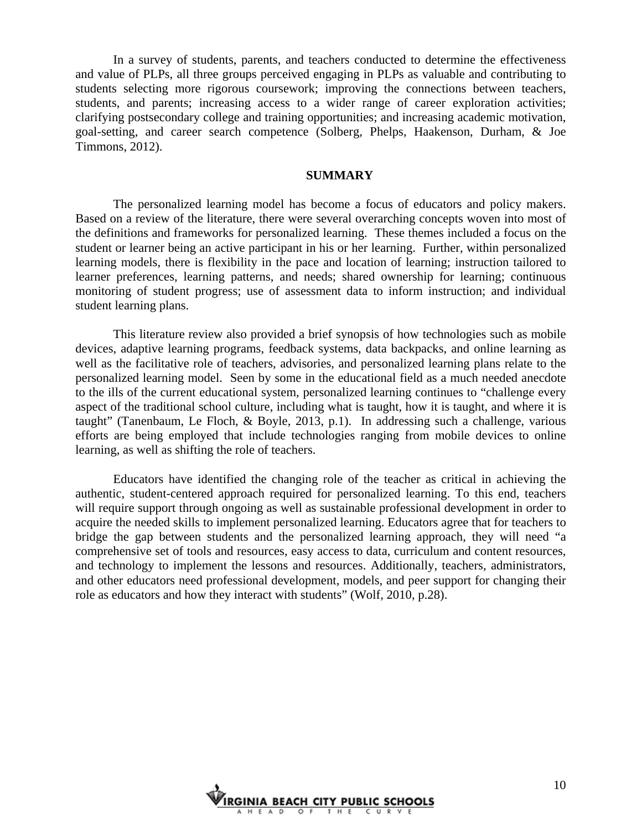In a survey of students, parents, and teachers conducted to determine the effectiveness and value of PLPs, all three groups perceived engaging in PLPs as valuable and contributing to students selecting more rigorous coursework; improving the connections between teachers, students, and parents; increasing access to a wider range of career exploration activities; clarifying postsecondary college and training opportunities; and increasing academic motivation, goal-setting, and career search competence (Solberg, Phelps, Haakenson, Durham, & Joe Timmons, 2012).

#### **SUMMARY**

The personalized learning model has become a focus of educators and policy makers. Based on a review of the literature, there were several overarching concepts woven into most of the definitions and frameworks for personalized learning. These themes included a focus on the student or learner being an active participant in his or her learning. Further, within personalized learning models, there is flexibility in the pace and location of learning; instruction tailored to learner preferences, learning patterns, and needs; shared ownership for learning; continuous monitoring of student progress; use of assessment data to inform instruction; and individual student learning plans.

This literature review also provided a brief synopsis of how technologies such as mobile devices, adaptive learning programs, feedback systems, data backpacks, and online learning as well as the facilitative role of teachers, advisories, and personalized learning plans relate to the personalized learning model. Seen by some in the educational field as a much needed anecdote to the ills of the current educational system, personalized learning continues to "challenge every aspect of the traditional school culture, including what is taught, how it is taught, and where it is taught" (Tanenbaum, Le Floch, & Boyle, 2013, p.1). In addressing such a challenge, various efforts are being employed that include technologies ranging from mobile devices to online learning, as well as shifting the role of teachers.

Educators have identified the changing role of the teacher as critical in achieving the authentic, student-centered approach required for personalized learning. To this end, teachers will require support through ongoing as well as sustainable professional development in order to acquire the needed skills to implement personalized learning. Educators agree that for teachers to bridge the gap between students and the personalized learning approach, they will need "a comprehensive set of tools and resources, easy access to data, curriculum and content resources, and technology to implement the lessons and resources. Additionally, teachers, administrators, and other educators need professional development, models, and peer support for changing their role as educators and how they interact with students" (Wolf, 2010, p.28).

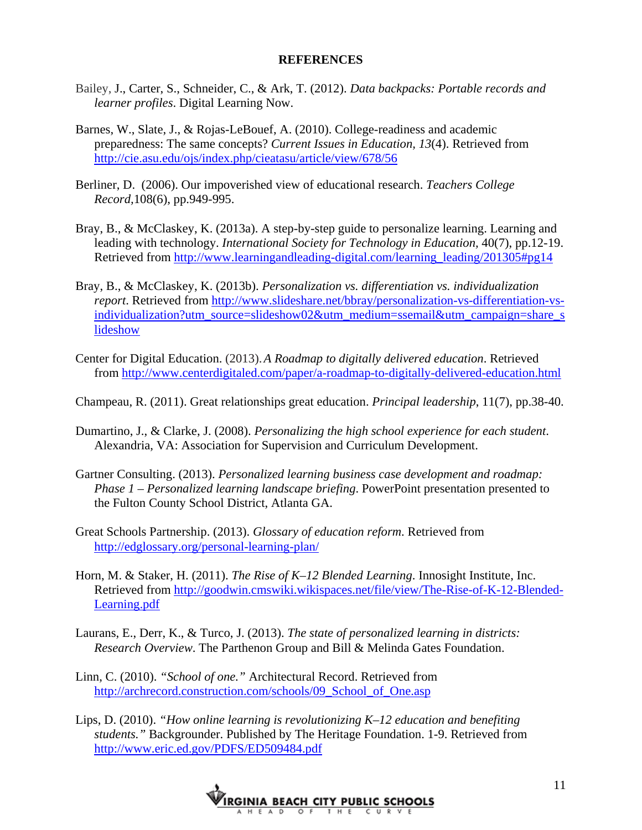#### **REFERENCES**

- Bailey, J., Carter, S., Schneider, C., & Ark, T. (2012). *Data backpacks: Portable records and learner profiles*. Digital Learning Now.
- Barnes, W., Slate, J., & Rojas-LeBouef, A. (2010). College-readiness and academic preparedness: The same concepts? *Current Issues in Education, 13*(4). Retrieved from http://cie.asu.edu/ojs/index.php/cieatasu/article/view/678/56
- Berliner, D. (2006). Our impoverished view of educational research. *Teachers College Record,*108(6), pp.949-995.
- Bray, B., & McClaskey, K. (2013a). A step-by-step guide to personalize learning. Learning and leading with technology. *International Society for Technology in Education,* 40(7), pp.12-19. Retrieved from http://www.learningandleading-digital.com/learning\_leading/201305#pg14
- Bray, B., & McClaskey, K. (2013b). *Personalization vs. differentiation vs. individualization report*. Retrieved from http://www.slideshare.net/bbray/personalization-vs-differentiation-vsindividualization?utm\_source=slideshow02&utm\_medium=ssemail&utm\_campaign=share\_s lideshow
- Center for Digital Education. (2013).*A Roadmap to digitally delivered education*. Retrieved from http://www.centerdigitaled.com/paper/a-roadmap-to-digitally-delivered-education.html
- Champeau, R. (2011). Great relationships great education. *Principal leadership*, 11(7), pp.38-40.
- Dumartino, J., & Clarke, J. (2008). *Personalizing the high school experience for each student*. Alexandria, VA: Association for Supervision and Curriculum Development.
- Gartner Consulting. (2013). *Personalized learning business case development and roadmap: Phase 1 – Personalized learning landscape briefing*. PowerPoint presentation presented to the Fulton County School District, Atlanta GA.
- Great Schools Partnership. (2013). *Glossary of education reform*. Retrieved from http://edglossary.org/personal-learning-plan/
- Horn, M. & Staker, H. (2011). *The Rise of K–12 Blended Learning*. Innosight Institute, Inc. Retrieved from http://goodwin.cmswiki.wikispaces.net/file/view/The-Rise-of-K-12-Blended-Learning.pdf
- Laurans, E., Derr, K., & Turco, J. (2013). *The state of personalized learning in districts: Research Overview*. The Parthenon Group and Bill & Melinda Gates Foundation.
- Linn, C. (2010). *"School of one."* Architectural Record. Retrieved from http://archrecord.construction.com/schools/09 School of One.asp
- Lips, D. (2010). *"How online learning is revolutionizing K–12 education and benefiting students."* Backgrounder. Published by The Heritage Foundation. 1-9. Retrieved from http://www.eric.ed.gov/PDFS/ED509484.pdf

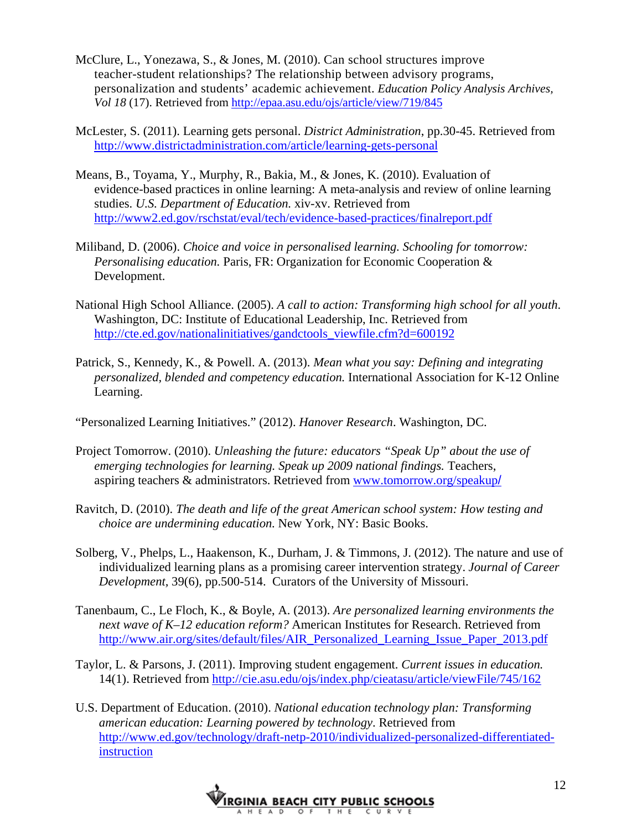- McClure, L., Yonezawa, S., & Jones, M. (2010). Can school structures improve teacher-student relationships? The relationship between advisory programs, personalization and students' academic achievement. *Education Policy Analysis Archives, Vol 18* (17). Retrieved from http://epaa.asu.edu/ojs/article/view/719/845
- McLester, S. (2011). Learning gets personal. *District Administration*, pp.30-45. Retrieved from http://www.districtadministration.com/article/learning-gets-personal
- Means, B., Toyama, Y., Murphy, R., Bakia, M., & Jones, K. (2010). Evaluation of evidence-based practices in online learning: A meta-analysis and review of online learning studies. *U.S. Department of Education.* xiv-xv. Retrieved from http://www2.ed.gov/rschstat/eval/tech/evidence-based-practices/finalreport.pdf
- Miliband, D. (2006). *Choice and voice in personalised learning. Schooling for tomorrow: Personalising education.* Paris, FR: Organization for Economic Cooperation & Development.
- National High School Alliance. (2005). *A call to action: Transforming high school for all youth*. Washington, DC: Institute of Educational Leadership, Inc. Retrieved from http://cte.ed.gov/nationalinitiatives/gandctools\_viewfile.cfm?d=600192
- Patrick, S., Kennedy, K., & Powell. A. (2013). *Mean what you say: Defining and integrating personalized, blended and competency education.* International Association for K-12 Online Learning.

"Personalized Learning Initiatives." (2012). *Hanover Research*. Washington, DC.

- Project Tomorrow. (2010). *Unleashing the future: educators "Speak Up" about the use of emerging technologies for learning. Speak up 2009 national findings.* Teachers, aspiring teachers & administrators. Retrieved from www.tomorrow.org/speakup/
- Ravitch, D. (2010). *The death and life of the great American school system: How testing and choice are undermining education.* New York, NY: Basic Books.
- Solberg, V., Phelps, L., Haakenson, K., Durham, J. & Timmons, J. (2012). The nature and use of individualized learning plans as a promising career intervention strategy. *Journal of Career Development,* 39(6), pp.500-514. Curators of the University of Missouri.
- Tanenbaum, C., Le Floch, K., & Boyle, A. (2013). *Are personalized learning environments the next wave of K–12 education reform?* American Institutes for Research. Retrieved from http://www.air.org/sites/default/files/AIR\_Personalized\_Learning\_Issue\_Paper\_2013.pdf
- Taylor, L. & Parsons, J. (2011). Improving student engagement. *Current issues in education.* 14(1). Retrieved from http://cie.asu.edu/ojs/index.php/cieatasu/article/viewFile/745/162
- U.S. Department of Education. (2010). *National education technology plan: Transforming american education: Learning powered by technology*. Retrieved from http://www.ed.gov/technology/draft-netp-2010/individualized-personalized-differentiatedinstruction